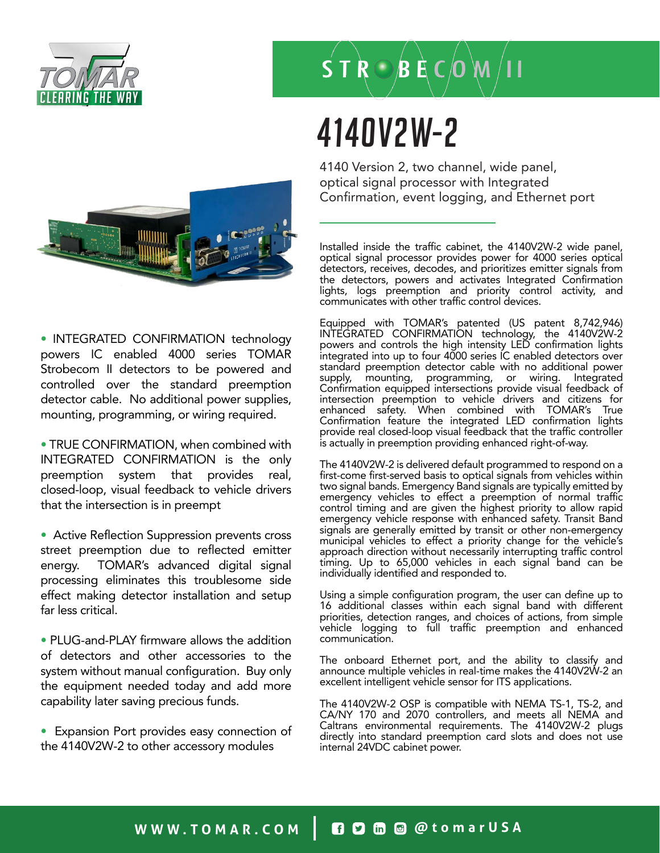

# $S T R \bigcirc B E C$  (0 M / II

### 4140V2W-2

4140 Version 2, two channel, wide panel, optical signal processor with Integrated Confirmation, event logging, and Ethernet port

Installed inside the traffic cabinet, the 4140V2W-2 wide panel, optical signal processor provides power for 4000 series optical detectors, receives, decodes, and prioritizes emitter signals from the detectors, powers and activates Integrated Confirmation lights, logs preemption and priority control activity, and communicates with other traffic control devices.

Equipped with TOMAR's patented (US patent 8,742,946) INTEGRATED CONFIRMATION technology, the 4140V2W-2 powers and controls the high intensity LED confirmation lights integrated into up to four 4000 series IC enabled detectors over standard preemption detector cable with no additional power supply, mounting, programming, or wiring. Integrated Confirmation equipped intersections provide visual feedback of intersection preemption to vehicle drivers and citizens for enhanced safety. When combined with TOMAR's True Confirmation feature the integrated LED confirmation lights provide real closed-loop visual feedback that the traffic controller is actually in preemption providing enhanced right-of-way.

The 4140V2W-2 is delivered default programmed to respond on a first-come first-served basis to optical signals from vehicles within two signal bands. Emergency Band signals are typically emitted by emergency vehicles to effect a preemption of normal traffic control timing and are given the highest priority to allow rapid emergency vehicle response with enhanced safety. Transit Band signals are generally emitted by transit or other non-emergency municipal vehicles to effect a priority change for the vehicle's approach direction without necessarily interrupting traffic control timing. Up to 65,000 vehicles in each signal band can be individually identified and responded to.

Using a simple configuration program, the user can define up to 16 additional classes within each signal band with different priorities, detection ranges, and choices of actions, from simple vehicle logging to full traffic preemption and enhanced communication.

The onboard Ethernet port, and the ability to classify and announce multiple vehicles in real-time makes the 4140V2W-2 an excellent intelligent vehicle sensor for ITS applications.

The 4140V2W-2 OSP is compatible with NEMA TS-1, TS-2, and CA/NY 170 and 2070 controllers, and meets all NEMA and Caltrans environmental requirements. The 4140V2W-2 plugs directly into standard preemption card slots and does not use internal 24VDC cabinet power.



• INTEGRATED CONFIRMATION technology powers IC enabled 4000 series TOMAR Strobecom II detectors to be powered and controlled over the standard preemption detector cable. No additional power supplies, mounting, programming, or wiring required.

• TRUE CONFIRMATION, when combined with INTEGRATED CONFIRMATION is the only preemption system that provides real, closed-loop, visual feedback to vehicle drivers that the intersection is in preempt

• Active Reflection Suppression prevents cross street preemption due to reflected emitter energy. TOMAR's advanced digital signal processing eliminates this troublesome side effect making detector installation and setup far less critical.

• PLUG-and-PLAY firmware allows the addition of detectors and other accessories to the system without manual configuration. Buy only the equipment needed today and add more capability later saving precious funds.

• Expansion Port provides easy connection of the 4140V2W-2 to other accessory modules